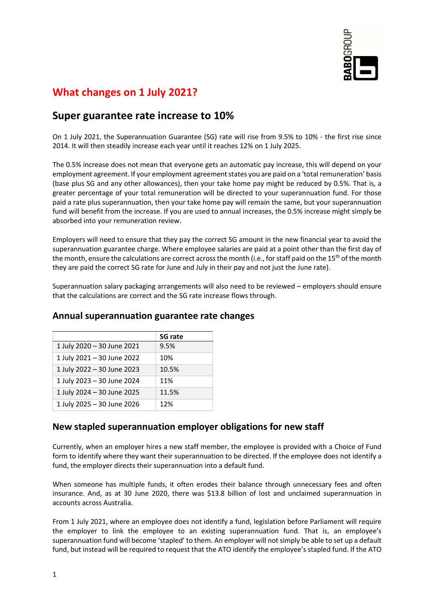

# **What changes on 1 July 2021?**

## **Super guarantee rate increase to 10%**

On 1 July 2021, the Superannuation Guarantee (SG) rate will rise from 9.5% to 10% - the first rise since 2014. It will then steadily increase each year until it reaches 12% on 1 July 2025.

The 0.5% increase does not mean that everyone gets an automatic pay increase, this will depend on your employment agreement. If your employment agreement states you are paid on a 'total remuneration' basis (base plus SG and any other allowances), then your take home pay might be reduced by 0.5%. That is, a greater percentage of your total remuneration will be directed to your superannuation fund. For those paid a rate plus superannuation, then your take home pay will remain the same, but your superannuation fund will benefit from the increase. If you are used to annual increases, the 0.5% increase might simply be absorbed into your remuneration review.

Employers will need to ensure that they pay the correct SG amount in the new financial year to avoid the superannuation guarantee charge. Where employee salaries are paid at a point other than the first day of the month, ensure the calculations are correct across the month (i.e., for staff paid on the 15<sup>th</sup> of the month they are paid the correct SG rate for June and July in their pay and not just the June rate).

Superannuation salary packaging arrangements will also need to be reviewed – employers should ensure that the calculations are correct and the SG rate increase flows through.

|                            | <b>SG rate</b> |
|----------------------------|----------------|
| 1 July 2020 - 30 June 2021 | 9.5%           |
| 1 July 2021 - 30 June 2022 | 10%            |
| 1 July 2022 - 30 June 2023 | 10.5%          |
| 1 July 2023 - 30 June 2024 | 11%            |
| 1 July 2024 - 30 June 2025 | 11.5%          |
| 1 July 2025 - 30 June 2026 | 12%            |

#### **Annual superannuation guarantee rate changes**

### **New stapled superannuation employer obligations for new staff**

Currently, when an employer hires a new staff member, the employee is provided with a Choice of Fund form to identify where they want their superannuation to be directed. If the employee does not identify a fund, the employer directs their superannuation into a default fund.

When someone has multiple funds, it often erodes their balance through unnecessary fees and often insurance. And, as at 30 June 2020, there was \$13.8 billion of lost and unclaimed superannuation in accounts across Australia.

From 1 July 2021, where an employee does not identify a fund, legislation before Parliament will require the employer to link the employee to an existing superannuation fund. That is, an employee's superannuation fund will become 'stapled' to them. An employer will not simply be able to set up a default fund, but instead will be required to request that the ATO identify the employee's stapled fund. If the ATO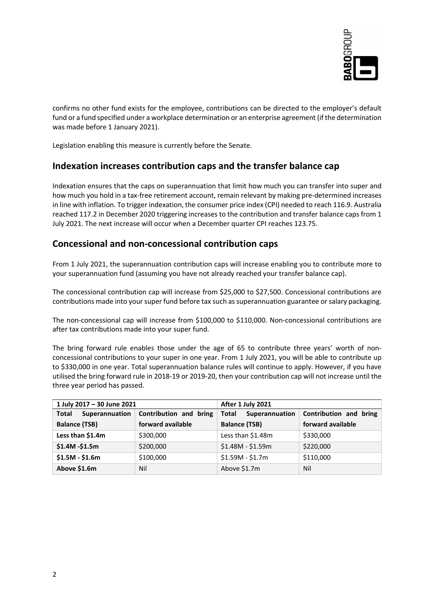

confirms no other fund exists for the employee, contributions can be directed to the employer's default fund or a fund specified under a workplace determination or an enterprise agreement (if the determination was made before 1 January 2021).

Legislation enabling this measure is currently before the Senate.

#### **Indexation increases contribution caps and the transfer balance cap**

Indexation ensures that the caps on superannuation that limit how much you can transfer into super and how much you hold in a tax-free retirement account, remain relevant by making pre-determined increases in line with inflation. To trigger indexation, the consumer price index (CPI) needed to reach 116.9. Australia reached 117.2 in December 2020 triggering increases to the contribution and transfer balance caps from 1 July 2021. The next increase will occur when a December quarter CPI reaches 123.75.

#### **Concessional and non-concessional contribution caps**

From 1 July 2021, the superannuation contribution caps will increase enabling you to contribute more to your superannuation fund (assuming you have not already reached your transfer balance cap).

The concessional contribution cap will increase from \$25,000 to \$27,500. Concessional contributions are contributions made into your super fund before tax such as superannuation guarantee or salary packaging.

The non-concessional cap will increase from \$100,000 to \$110,000. Non-concessional contributions are after tax contributions made into your super fund.

The bring forward rule enables those under the age of 65 to contribute three years' worth of nonconcessional contributions to your super in one year. From 1 July 2021, you will be able to contribute up to \$330,000 in one year. Total superannuation balance rules will continue to apply. However, if you have utilised the bring forward rule in 2018-19 or 2019-20, then your contribution cap will not increase until the three year period has passed.

| 1 July 2017 - 30 June 2021 |                        | After 1 July 2021       |                        |
|----------------------------|------------------------|-------------------------|------------------------|
| Superannuation<br>Total    | Contribution and bring | Superannuation<br>Total | Contribution and bring |
| <b>Balance (TSB)</b>       | forward available      | <b>Balance (TSB)</b>    | forward available      |
| Less than \$1.4m           | \$300,000              | Less than \$1.48m       | \$330,000              |
| $$1.4M - $1.5m$            | \$200,000              | $$1.48M - $1.59m$       | \$220,000              |
| $$1.5M - $1.6m$            | \$100,000              | $$1.59M - $1.7m$        | \$110,000              |
| Above \$1.6m               | Nil                    | Above \$1.7m            | Nil                    |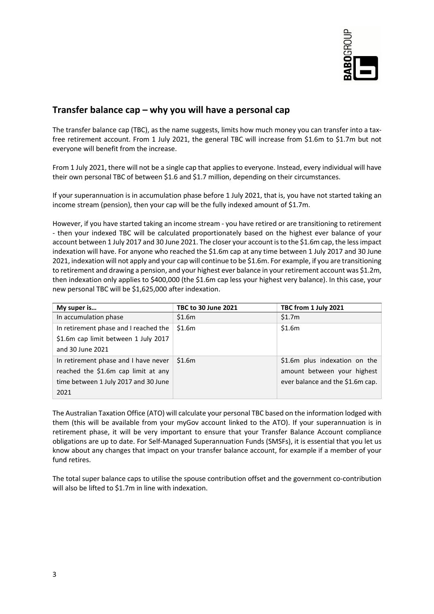

### **Transfer balance cap – why you will have a personal cap**

The transfer balance cap (TBC), as the name suggests, limits how much money you can transfer into a taxfree retirement account. From 1 July 2021, the general TBC will increase from \$1.6m to \$1.7m but not everyone will benefit from the increase.

From 1 July 2021, there will not be a single cap that applies to everyone. Instead, every individual will have their own personal TBC of between \$1.6 and \$1.7 million, depending on their circumstances.

If your superannuation is in accumulation phase before 1 July 2021, that is, you have not started taking an income stream (pension), then your cap will be the fully indexed amount of \$1.7m.

However, if you have started taking an income stream - you have retired or are transitioning to retirement - then your indexed TBC will be calculated proportionately based on the highest ever balance of your account between 1 July 2017 and 30 June 2021. The closer your account is to the \$1.6m cap, the less impact indexation will have. For anyone who reached the \$1.6m cap at any time between 1 July 2017 and 30 June 2021, indexation will not apply and your cap will continue to be \$1.6m. For example, if you are transitioning to retirement and drawing a pension, and your highest ever balance in your retirement account was \$1.2m, then indexation only applies to \$400,000 (the \$1.6m cap less your highest very balance). In this case, your new personal TBC will be \$1,625,000 after indexation.

| My super is                           | <b>TBC to 30 June 2021</b> | TBC from 1 July 2021             |
|---------------------------------------|----------------------------|----------------------------------|
| In accumulation phase                 | \$1.6m                     | \$1.7m                           |
| In retirement phase and I reached the | \$1.6m                     | \$1.6m                           |
| \$1.6m cap limit between 1 July 2017  |                            |                                  |
| and 30 June 2021                      |                            |                                  |
| In retirement phase and I have never  | \$1.6m                     | \$1.6m plus indexation on the    |
| reached the \$1.6m cap limit at any   |                            | amount between your highest      |
| time between 1 July 2017 and 30 June  |                            | ever balance and the \$1.6m cap. |
| 2021                                  |                            |                                  |

The Australian Taxation Office (ATO) will calculate your personal TBC based on the information lodged with them (this will be available from your myGov account linked to the ATO). If your superannuation is in retirement phase, it will be very important to ensure that your Transfer Balance Account compliance obligations are up to date. For Self-Managed Superannuation Funds (SMSFs), it is essential that you let us know about any changes that impact on your transfer balance account, for example if a member of your fund retires.

The total super balance caps to utilise the spouse contribution offset and the government co-contribution will also be lifted to \$1.7m in line with indexation.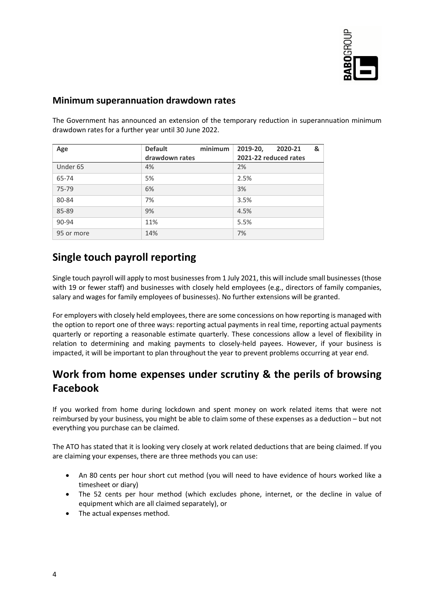

### **Minimum superannuation drawdown rates**

The Government has announced an extension of the temporary reduction in superannuation minimum drawdown rates for a further year until 30 June 2022.

| Age        | minimum<br><b>Default</b> | 2019-20,<br>&<br>2020-21 |
|------------|---------------------------|--------------------------|
|            | drawdown rates            | 2021-22 reduced rates    |
| Under 65   | 4%                        | 2%                       |
| 65-74      | 5%                        | 2.5%                     |
| 75-79      | 6%                        | 3%                       |
| 80-84      | 7%                        | 3.5%                     |
| 85-89      | 9%                        | 4.5%                     |
| 90-94      | 11%                       | 5.5%                     |
| 95 or more | 14%                       | 7%                       |

# **Single touch payroll reporting**

Single touch payroll will apply to most businesses from 1 July 2021, this will include small businesses (those with 19 or fewer staff) and businesses with closely held employees (e.g., directors of family companies, salary and wages for family employees of businesses). No further extensions will be granted.

For employers with closely held employees, there are some concessions on how reporting is managed with the option to report one of three ways: reporting actual payments in real time, reporting actual payments quarterly or reporting a reasonable estimate quarterly. These concessions allow a level of flexibility in relation to determining and making payments to closely-held payees. However, if your business is impacted, it will be important to plan throughout the year to prevent problems occurring at year end.

# **Work from home expenses under scrutiny & the perils of browsing Facebook**

If you worked from home during lockdown and spent money on work related items that were not reimbursed by your business, you might be able to claim some of these expenses as a deduction – but not everything you purchase can be claimed.

The ATO has stated that it is looking very closely at work related deductions that are being claimed. If you are claiming your expenses, there are three methods you can use:

- An 80 cents per hour short cut method (you will need to have evidence of hours worked like a timesheet or diary)
- The 52 cents per hour method (which excludes phone, internet, or the decline in value of equipment which are all claimed separately), or
- The actual expenses method.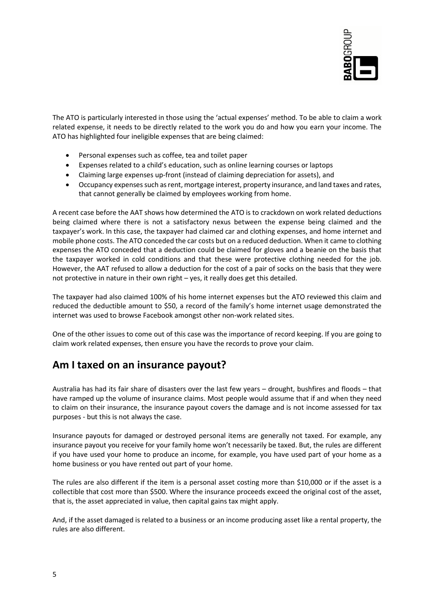

The ATO is particularly interested in those using the 'actual expenses' method. To be able to claim a work related expense, it needs to be directly related to the work you do and how you earn your income. The ATO has highlighted four ineligible expenses that are being claimed:

- Personal expenses such as coffee, tea and toilet paper
- Expenses related to a child's education, such as online learning courses or laptops
- Claiming large expenses up-front (instead of claiming depreciation for assets), and
- Occupancy expenses such as rent, mortgage interest, property insurance, and land taxes and rates, that cannot generally be claimed by employees working from home.

A recent case before the AAT shows how determined the ATO is to crackdown on work related deductions being claimed where there is not a satisfactory nexus between the expense being claimed and the taxpayer's work. In this case, the taxpayer had claimed car and clothing expenses, and home internet and mobile phone costs. The ATO conceded the car costs but on a reduced deduction. When it came to clothing expenses the ATO conceded that a deduction could be claimed for gloves and a beanie on the basis that the taxpayer worked in cold conditions and that these were protective clothing needed for the job. However, the AAT refused to allow a deduction for the cost of a pair of socks on the basis that they were not protective in nature in their own right – yes, it really does get this detailed.

The taxpayer had also claimed 100% of his home internet expenses but the ATO reviewed this claim and reduced the deductible amount to \$50, a record of the family's home internet usage demonstrated the internet was used to browse Facebook amongst other non-work related sites.

One of the other issues to come out of this case was the importance of record keeping. If you are going to claim work related expenses, then ensure you have the records to prove your claim.

## **Am I taxed on an insurance payout?**

Australia has had its fair share of disasters over the last few years – drought, bushfires and floods – that have ramped up the volume of insurance claims. Most people would assume that if and when they need to claim on their insurance, the insurance payout covers the damage and is not income assessed for tax purposes - but this is not always the case.

Insurance payouts for damaged or destroyed personal items are generally not taxed. For example, any insurance payout you receive for your family home won't necessarily be taxed. But, the rules are different if you have used your home to produce an income, for example, you have used part of your home as a home business or you have rented out part of your home.

The rules are also different if the item is a personal asset costing more than \$10,000 or if the asset is a collectible that cost more than \$500. Where the insurance proceeds exceed the original cost of the asset, that is, the asset appreciated in value, then capital gains tax might apply.

And, if the asset damaged is related to a business or an income producing asset like a rental property, the rules are also different.